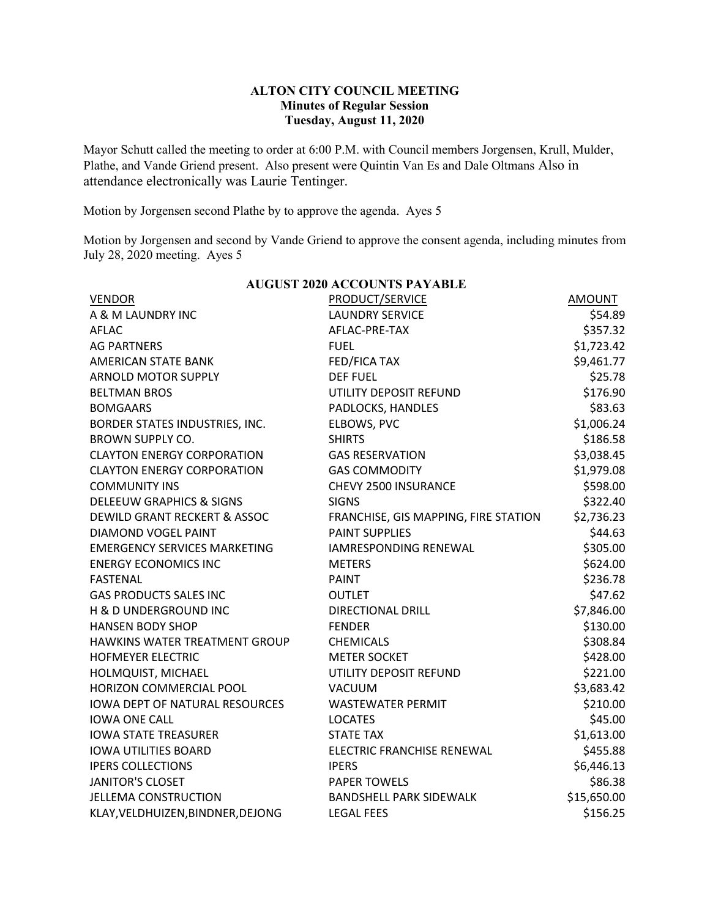## **ALTON CITY COUNCIL MEETING Minutes of Regular Session Tuesday, August 11, 2020**

Mayor Schutt called the meeting to order at 6:00 P.M. with Council members Jorgensen, Krull, Mulder, Plathe, and Vande Griend present. Also present were Quintin Van Es and Dale Oltmans Also in attendance electronically was Laurie Tentinger.

Motion by Jorgensen second Plathe by to approve the agenda. Ayes 5

Motion by Jorgensen and second by Vande Griend to approve the consent agenda, including minutes from July 28, 2020 meeting. Ayes 5

| <b>AUGUST 2020 ACCOUNTS PAYABLE</b>     |                                      |               |  |  |  |
|-----------------------------------------|--------------------------------------|---------------|--|--|--|
| <b>VENDOR</b>                           | <b>PRODUCT/SERVICE</b>               | <b>AMOUNT</b> |  |  |  |
| A & M LAUNDRY INC                       | <b>LAUNDRY SERVICE</b>               | \$54.89       |  |  |  |
| <b>AFLAC</b>                            | AFLAC-PRE-TAX                        | \$357.32      |  |  |  |
| <b>AG PARTNERS</b>                      | <b>FUEL</b>                          | \$1,723.42    |  |  |  |
| AMERICAN STATE BANK                     | <b>FED/FICA TAX</b>                  | \$9,461.77    |  |  |  |
| <b>ARNOLD MOTOR SUPPLY</b>              | <b>DEF FUEL</b>                      | \$25.78       |  |  |  |
| <b>BELTMAN BROS</b>                     | UTILITY DEPOSIT REFUND               | \$176.90      |  |  |  |
| <b>BOMGAARS</b>                         | PADLOCKS, HANDLES                    | \$83.63       |  |  |  |
| BORDER STATES INDUSTRIES, INC.          | ELBOWS, PVC                          | \$1,006.24    |  |  |  |
| <b>BROWN SUPPLY CO.</b>                 | <b>SHIRTS</b>                        | \$186.58      |  |  |  |
| <b>CLAYTON ENERGY CORPORATION</b>       | <b>GAS RESERVATION</b>               | \$3,038.45    |  |  |  |
| <b>CLAYTON ENERGY CORPORATION</b>       | <b>GAS COMMODITY</b>                 | \$1,979.08    |  |  |  |
| <b>COMMUNITY INS</b>                    | CHEVY 2500 INSURANCE                 | \$598.00      |  |  |  |
| <b>DELEEUW GRAPHICS &amp; SIGNS</b>     | <b>SIGNS</b>                         | \$322.40      |  |  |  |
| <b>DEWILD GRANT RECKERT &amp; ASSOC</b> | FRANCHISE, GIS MAPPING, FIRE STATION | \$2,736.23    |  |  |  |
| DIAMOND VOGEL PAINT                     | <b>PAINT SUPPLIES</b>                | \$44.63       |  |  |  |
| <b>EMERGENCY SERVICES MARKETING</b>     | <b>IAMRESPONDING RENEWAL</b>         | \$305.00      |  |  |  |
| <b>ENERGY ECONOMICS INC</b>             | <b>METERS</b>                        | \$624.00      |  |  |  |
| <b>FASTENAL</b>                         | <b>PAINT</b>                         | \$236.78      |  |  |  |
| <b>GAS PRODUCTS SALES INC</b>           | <b>OUTLET</b>                        | \$47.62       |  |  |  |
| H & D UNDERGROUND INC                   | <b>DIRECTIONAL DRILL</b>             | \$7,846.00    |  |  |  |
| <b>HANSEN BODY SHOP</b>                 | <b>FENDER</b>                        | \$130.00      |  |  |  |
| HAWKINS WATER TREATMENT GROUP           | <b>CHEMICALS</b>                     | \$308.84      |  |  |  |
| <b>HOFMEYER ELECTRIC</b>                | <b>METER SOCKET</b>                  | \$428.00      |  |  |  |
| HOLMQUIST, MICHAEL                      | UTILITY DEPOSIT REFUND               | \$221.00      |  |  |  |
| HORIZON COMMERCIAL POOL                 | VACUUM                               | \$3,683.42    |  |  |  |
| <b>IOWA DEPT OF NATURAL RESOURCES</b>   | <b>WASTEWATER PERMIT</b>             | \$210.00      |  |  |  |
| <b>IOWA ONE CALL</b>                    | <b>LOCATES</b>                       | \$45.00       |  |  |  |
| <b>IOWA STATE TREASURER</b>             | <b>STATE TAX</b>                     | \$1,613.00    |  |  |  |
| <b>IOWA UTILITIES BOARD</b>             | ELECTRIC FRANCHISE RENEWAL           | \$455.88      |  |  |  |
| <b>IPERS COLLECTIONS</b>                | <b>IPERS</b>                         | \$6,446.13    |  |  |  |
| <b>JANITOR'S CLOSET</b>                 | <b>PAPER TOWELS</b>                  | \$86.38       |  |  |  |
| JELLEMA CONSTRUCTION                    | <b>BANDSHELL PARK SIDEWALK</b>       | \$15,650.00   |  |  |  |
| KLAY, VELDHUIZEN, BINDNER, DEJONG       | <b>LEGAL FEES</b>                    | \$156.25      |  |  |  |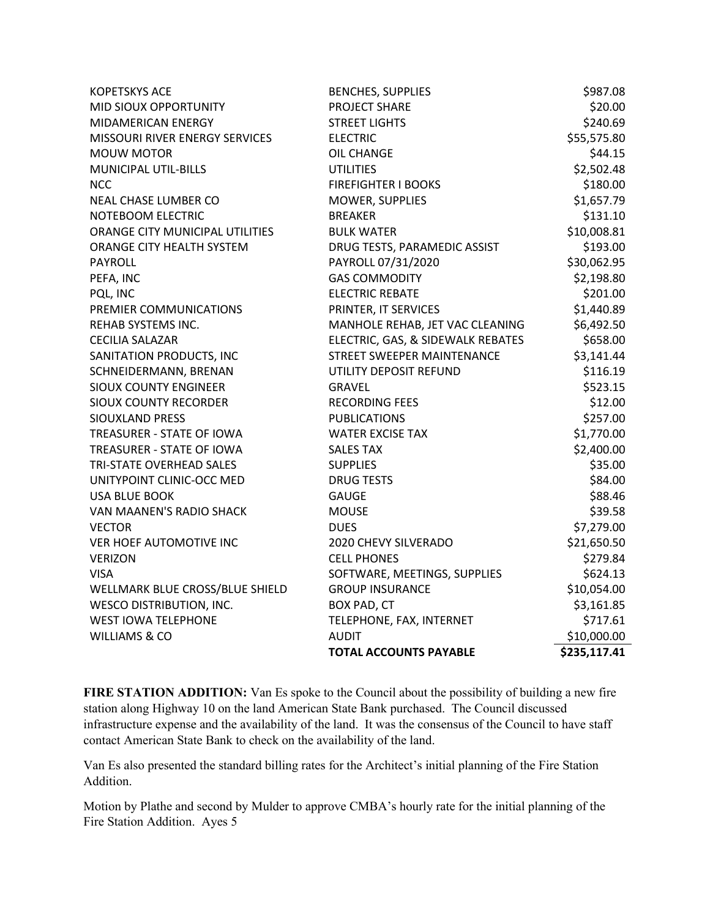| <b>KOPETSKYS ACE</b>            | <b>BENCHES, SUPPLIES</b>          | \$987.08     |
|---------------------------------|-----------------------------------|--------------|
| MID SIOUX OPPORTUNITY           | PROJECT SHARE                     | \$20.00      |
| MIDAMERICAN ENERGY              | <b>STREET LIGHTS</b>              | \$240.69     |
| MISSOURI RIVER ENERGY SERVICES  | <b>ELECTRIC</b>                   | \$55,575.80  |
| <b>MOUW MOTOR</b>               | <b>OIL CHANGE</b>                 | \$44.15      |
| MUNICIPAL UTIL-BILLS            | <b>UTILITIES</b>                  | \$2,502.48   |
| <b>NCC</b>                      | <b>FIREFIGHTER I BOOKS</b>        | \$180.00     |
| NEAL CHASE LUMBER CO            | MOWER, SUPPLIES                   | \$1,657.79   |
| NOTEBOOM ELECTRIC               | <b>BREAKER</b>                    | \$131.10     |
| ORANGE CITY MUNICIPAL UTILITIES | <b>BULK WATER</b>                 | \$10,008.81  |
| ORANGE CITY HEALTH SYSTEM       | DRUG TESTS, PARAMEDIC ASSIST      | \$193.00     |
| PAYROLL                         | PAYROLL 07/31/2020                | \$30,062.95  |
| PEFA, INC                       | <b>GAS COMMODITY</b>              | \$2,198.80   |
| PQL, INC                        | <b>ELECTRIC REBATE</b>            | \$201.00     |
| PREMIER COMMUNICATIONS          | PRINTER, IT SERVICES              | \$1,440.89   |
| REHAB SYSTEMS INC.              | MANHOLE REHAB, JET VAC CLEANING   | \$6,492.50   |
| <b>CECILIA SALAZAR</b>          | ELECTRIC, GAS, & SIDEWALK REBATES | \$658.00     |
| SANITATION PRODUCTS, INC        | STREET SWEEPER MAINTENANCE        | \$3,141.44   |
| SCHNEIDERMANN, BRENAN           | UTILITY DEPOSIT REFUND            | \$116.19     |
| <b>SIOUX COUNTY ENGINEER</b>    | <b>GRAVEL</b>                     | \$523.15     |
| <b>SIOUX COUNTY RECORDER</b>    | <b>RECORDING FEES</b>             | \$12.00      |
| <b>SIOUXLAND PRESS</b>          | <b>PUBLICATIONS</b>               | \$257.00     |
| TREASURER - STATE OF IOWA       | <b>WATER EXCISE TAX</b>           | \$1,770.00   |
| TREASURER - STATE OF IOWA       | <b>SALES TAX</b>                  | \$2,400.00   |
| TRI-STATE OVERHEAD SALES        | <b>SUPPLIES</b>                   | \$35.00      |
| UNITYPOINT CLINIC-OCC MED       | <b>DRUG TESTS</b>                 | \$84.00      |
| <b>USA BLUE BOOK</b>            | <b>GAUGE</b>                      | \$88.46      |
| VAN MAANEN'S RADIO SHACK        | <b>MOUSE</b>                      | \$39.58      |
| <b>VECTOR</b>                   | <b>DUES</b>                       | \$7,279.00   |
| VER HOEF AUTOMOTIVE INC         | 2020 CHEVY SILVERADO              | \$21,650.50  |
| <b>VERIZON</b>                  | <b>CELL PHONES</b>                | \$279.84     |
| <b>VISA</b>                     | SOFTWARE, MEETINGS, SUPPLIES      | \$624.13     |
| WELLMARK BLUE CROSS/BLUE SHIELD | <b>GROUP INSURANCE</b>            | \$10,054.00  |
| <b>WESCO DISTRIBUTION, INC.</b> | BOX PAD, CT                       | \$3,161.85   |
| <b>WEST IOWA TELEPHONE</b>      | TELEPHONE, FAX, INTERNET          | \$717.61     |
| <b>WILLIAMS &amp; CO</b>        | <b>AUDIT</b>                      | \$10,000.00  |
|                                 | <b>TOTAL ACCOUNTS PAYABLE</b>     | \$235,117.41 |

**FIRE STATION ADDITION:** Van Es spoke to the Council about the possibility of building a new fire station along Highway 10 on the land American State Bank purchased. The Council discussed infrastructure expense and the availability of the land. It was the consensus of the Council to have staff contact American State Bank to check on the availability of the land.

Van Es also presented the standard billing rates for the Architect's initial planning of the Fire Station Addition.

Motion by Plathe and second by Mulder to approve CMBA's hourly rate for the initial planning of the Fire Station Addition. Ayes 5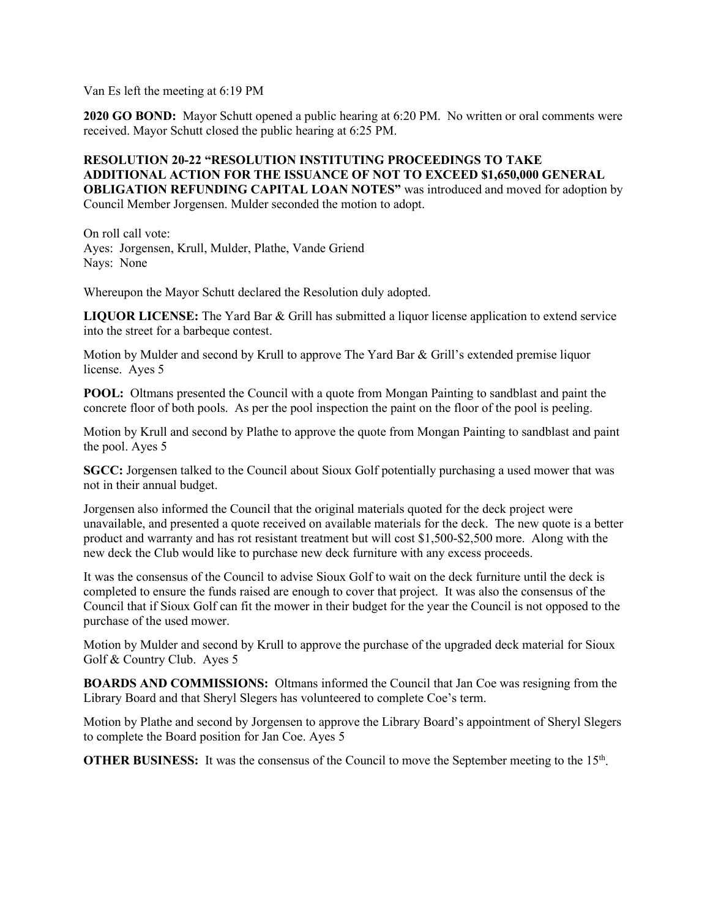Van Es left the meeting at 6:19 PM

**2020 GO BOND:** Mayor Schutt opened a public hearing at 6:20 PM. No written or oral comments were received. Mayor Schutt closed the public hearing at 6:25 PM.

## **RESOLUTION 20-22 "RESOLUTION INSTITUTING PROCEEDINGS TO TAKE ADDITIONAL ACTION FOR THE ISSUANCE OF NOT TO EXCEED \$1,650,000 GENERAL OBLIGATION REFUNDING CAPITAL LOAN NOTES"** was introduced and moved for adoption by Council Member Jorgensen. Mulder seconded the motion to adopt.

On roll call vote: Ayes: Jorgensen, Krull, Mulder, Plathe, Vande Griend Nays: None

Whereupon the Mayor Schutt declared the Resolution duly adopted.

**LIQUOR LICENSE:** The Yard Bar & Grill has submitted a liquor license application to extend service into the street for a barbeque contest.

Motion by Mulder and second by Krull to approve The Yard Bar & Grill's extended premise liquor license. Ayes 5

**POOL:** Oltmans presented the Council with a quote from Mongan Painting to sandblast and paint the concrete floor of both pools. As per the pool inspection the paint on the floor of the pool is peeling.

Motion by Krull and second by Plathe to approve the quote from Mongan Painting to sandblast and paint the pool. Ayes 5

**SGCC:** Jorgensen talked to the Council about Sioux Golf potentially purchasing a used mower that was not in their annual budget.

Jorgensen also informed the Council that the original materials quoted for the deck project were unavailable, and presented a quote received on available materials for the deck. The new quote is a better product and warranty and has rot resistant treatment but will cost \$1,500-\$2,500 more. Along with the new deck the Club would like to purchase new deck furniture with any excess proceeds.

It was the consensus of the Council to advise Sioux Golf to wait on the deck furniture until the deck is completed to ensure the funds raised are enough to cover that project. It was also the consensus of the Council that if Sioux Golf can fit the mower in their budget for the year the Council is not opposed to the purchase of the used mower.

Motion by Mulder and second by Krull to approve the purchase of the upgraded deck material for Sioux Golf & Country Club. Ayes 5

**BOARDS AND COMMISSIONS:** Oltmans informed the Council that Jan Coe was resigning from the Library Board and that Sheryl Slegers has volunteered to complete Coe's term.

Motion by Plathe and second by Jorgensen to approve the Library Board's appointment of Sheryl Slegers to complete the Board position for Jan Coe. Ayes 5

**OTHER BUSINESS:** It was the consensus of the Council to move the September meeting to the 15<sup>th</sup>.